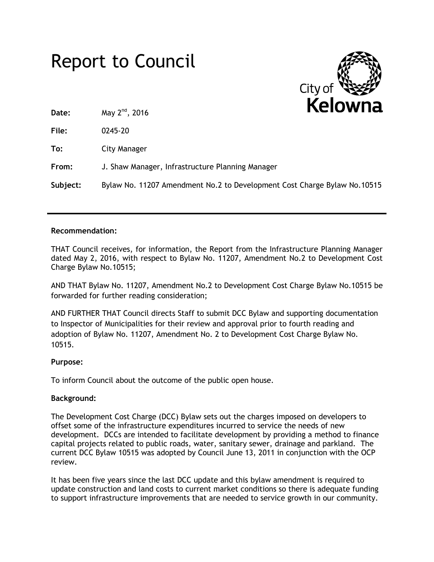# Report to Council



**Date:** May 2nd, 2016

**File:** 0245-20

**To:** City Manager

**From:** J. Shaw Manager, Infrastructure Planning Manager

**Subject:** Bylaw No. 11207 Amendment No.2 to Development Cost Charge Bylaw No.10515

#### **Recommendation:**

THAT Council receives, for information, the Report from the Infrastructure Planning Manager dated May 2, 2016, with respect to Bylaw No. 11207, Amendment No.2 to Development Cost Charge Bylaw No.10515;

AND THAT Bylaw No. 11207, Amendment No.2 to Development Cost Charge Bylaw No.10515 be forwarded for further reading consideration;

AND FURTHER THAT Council directs Staff to submit DCC Bylaw and supporting documentation to Inspector of Municipalities for their review and approval prior to fourth reading and adoption of Bylaw No. 11207, Amendment No. 2 to Development Cost Charge Bylaw No. 10515.

#### **Purpose:**

To inform Council about the outcome of the public open house.

#### **Background:**

The Development Cost Charge (DCC) Bylaw sets out the charges imposed on developers to offset some of the infrastructure expenditures incurred to service the needs of new development. DCCs are intended to facilitate development by providing a method to finance capital projects related to public roads, water, sanitary sewer, drainage and parkland. The current DCC Bylaw 10515 was adopted by Council June 13, 2011 in conjunction with the OCP review.

It has been five years since the last DCC update and this bylaw amendment is required to update construction and land costs to current market conditions so there is adequate funding to support infrastructure improvements that are needed to service growth in our community.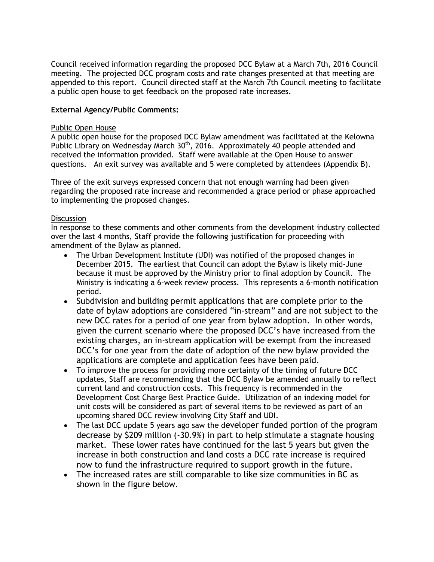Council received information regarding the proposed DCC Bylaw at a March 7th, 2016 Council meeting. The projected DCC program costs and rate changes presented at that meeting are appended to this report. Council directed staff at the March 7th Council meeting to facilitate a public open house to get feedback on the proposed rate increases.

#### **External Agency/Public Comments:**

#### Public Open House

A public open house for the proposed DCC Bylaw amendment was facilitated at the Kelowna Public Library on Wednesday March 30<sup>th</sup>, 2016. Approximately 40 people attended and received the information provided. Staff were available at the Open House to answer questions. An exit survey was available and 5 were completed by attendees (Appendix B).

Three of the exit surveys expressed concern that not enough warning had been given regarding the proposed rate increase and recommended a grace period or phase approached to implementing the proposed changes.

#### **Discussion**

In response to these comments and other comments from the development industry collected over the last 4 months, Staff provide the following justification for proceeding with amendment of the Bylaw as planned.

- The Urban Development Institute (UDI) was notified of the proposed changes in December 2015. The earliest that Council can adopt the Bylaw is likely mid-June because it must be approved by the Ministry prior to final adoption by Council. The Ministry is indicating a 6-week review process. This represents a 6-month notification period.
- Subdivision and building permit applications that are complete prior to the date of bylaw adoptions are considered "in-stream" and are not subject to the new DCC rates for a period of one year from bylaw adoption. In other words, given the current scenario where the proposed DCC's have increased from the existing charges, an in-stream application will be exempt from the increased DCC's for one year from the date of adoption of the new bylaw provided the applications are complete and application fees have been paid.
- To improve the process for providing more certainty of the timing of future DCC updates, Staff are recommending that the DCC Bylaw be amended annually to reflect current land and construction costs. This frequency is recommended in the Development Cost Charge Best Practice Guide. Utilization of an indexing model for unit costs will be considered as part of several items to be reviewed as part of an upcoming shared DCC review involving City Staff and UDI.
- The last DCC update 5 years ago saw the developer funded portion of the program decrease by \$209 million (-30.9%) in part to help stimulate a stagnate housing market. These lower rates have continued for the last 5 years but given the increase in both construction and land costs a DCC rate increase is required now to fund the infrastructure required to support growth in the future.
- The increased rates are still comparable to like size communities in BC as shown in the figure below.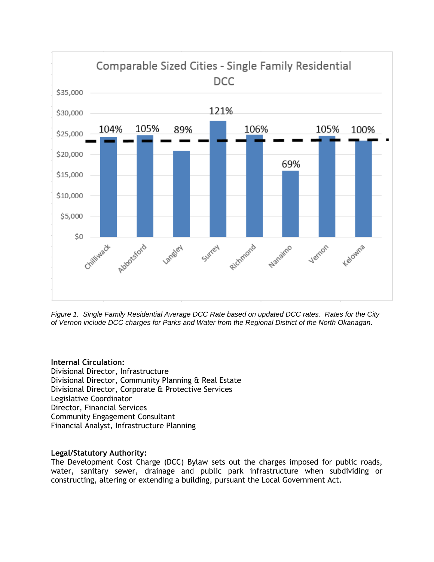

*Figure 1. Single Family Residential Average DCC Rate based on updated DCC rates. Rates for the City of Vernon include DCC charges for Parks and Water from the Regional District of the North Okanagan.*

#### **Internal Circulation:**

Divisional Director, Infrastructure Divisional Director, Community Planning & Real Estate Divisional Director, Corporate & Protective Services Legislative Coordinator Director, Financial Services Community Engagement Consultant Financial Analyst, Infrastructure Planning

#### **Legal/Statutory Authority:**

The Development Cost Charge (DCC) Bylaw sets out the charges imposed for public roads, water, sanitary sewer, drainage and public park infrastructure when subdividing or constructing, altering or extending a building, pursuant the Local Government Act.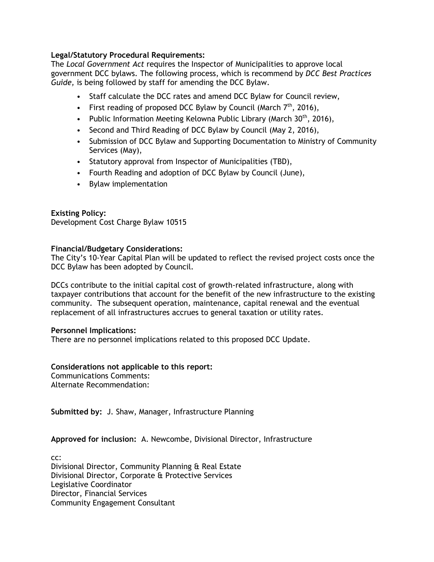#### **Legal/Statutory Procedural Requirements:**

The *Local Government Act* requires the Inspector of Municipalities to approve local government DCC bylaws. The following process, which is recommend by *DCC Best Practices Guide,* is being followed by staff for amending the DCC Bylaw.

- Staff calculate the DCC rates and amend DCC Bylaw for Council review,
- First reading of proposed DCC Bylaw by Council (March  $7<sup>th</sup>$ , 2016),
- Public Information Meeting Kelowna Public Library (March  $30<sup>th</sup>$ , 2016),
- Second and Third Reading of DCC Bylaw by Council (May 2, 2016),
- Submission of DCC Bylaw and Supporting Documentation to Ministry of Community Services (May),
- Statutory approval from Inspector of Municipalities (TBD),
- Fourth Reading and adoption of DCC Bylaw by Council (June),
- Bylaw implementation

#### **Existing Policy:**

Development Cost Charge Bylaw 10515

#### **Financial/Budgetary Considerations:**

The City's 10-Year Capital Plan will be updated to reflect the revised project costs once the DCC Bylaw has been adopted by Council.

DCCs contribute to the initial capital cost of growth-related infrastructure, along with taxpayer contributions that account for the benefit of the new infrastructure to the existing community. The subsequent operation, maintenance, capital renewal and the eventual replacement of all infrastructures accrues to general taxation or utility rates.

#### **Personnel Implications:**

There are no personnel implications related to this proposed DCC Update.

#### **Considerations not applicable to this report:**

Communications Comments: Alternate Recommendation:

**Submitted by:** J. Shaw, Manager, Infrastructure Planning

**Approved for inclusion:** A. Newcombe, Divisional Director, Infrastructure

cc: Divisional Director, Community Planning & Real Estate Divisional Director, Corporate & Protective Services Legislative Coordinator Director, Financial Services Community Engagement Consultant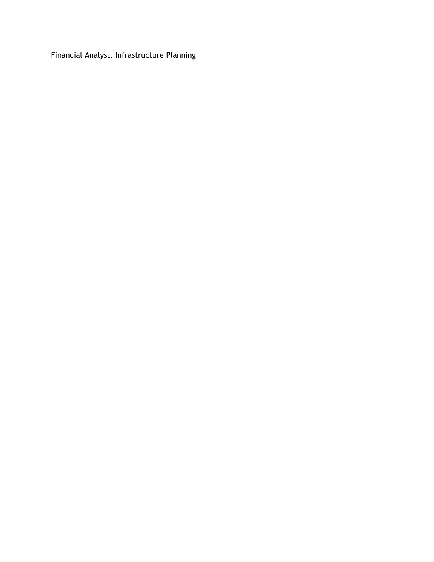Financial Analyst, Infrastructure Planning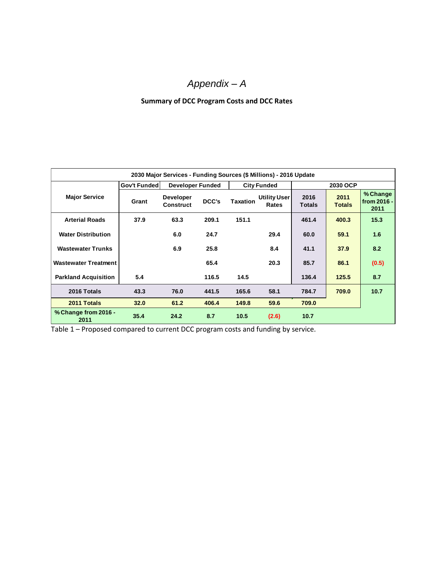# *Appendix – A*

#### **Summary of DCC Program Costs and DCC Rates**

| 2030 Major Services - Funding Sources (\$ Millions) - 2016 Update |              |                               |       |                    |                       |                       |                       |                                 |
|-------------------------------------------------------------------|--------------|-------------------------------|-------|--------------------|-----------------------|-----------------------|-----------------------|---------------------------------|
|                                                                   | Gov't Funded | <b>Developer Funded</b>       |       | <b>City Funded</b> |                       | 2030 OCP              |                       |                                 |
| <b>Major Service</b>                                              | Grant        | <b>Developer</b><br>Construct | DCC's | <b>Taxation</b>    | Utility User<br>Rates | 2016<br><b>Totals</b> | 2011<br><b>Totals</b> | % Change<br>from 2016 -<br>2011 |
| <b>Arterial Roads</b>                                             | 37.9         | 63.3                          | 209.1 | 151.1              |                       | 461.4                 | 400.3                 | 15.3                            |
| <b>Water Distribution</b>                                         |              | 6.0                           | 24.7  |                    | 29.4                  | 60.0                  | 59.1                  | 1.6                             |
| <b>Wastewater Trunks</b>                                          |              | 6.9                           | 25.8  |                    | 8.4                   | 41.1                  | 37.9                  | 8.2                             |
| <b>Wastewater Treatment</b>                                       |              |                               | 65.4  |                    | 20.3                  | 85.7                  | 86.1                  | (0.5)                           |
| <b>Parkland Acquisition</b>                                       | 5.4          |                               | 116.5 | 14.5               |                       | 136.4                 | 125.5                 | 8.7                             |
| 2016 Totals                                                       | 43.3         | 76.0                          | 441.5 | 165.6              | 58.1                  | 784.7                 | 709.0                 | 10.7                            |
| 2011 Totals                                                       | 32.0         | 61.2                          | 406.4 | 149.8              | 59.6                  | 709.0                 |                       |                                 |
| % Change from 2016 -<br>2011                                      | 35.4         | 24.2                          | 8.7   | 10.5               | (2.6)                 | 10.7                  |                       |                                 |

Table 1 – Proposed compared to current DCC program costs and funding by service.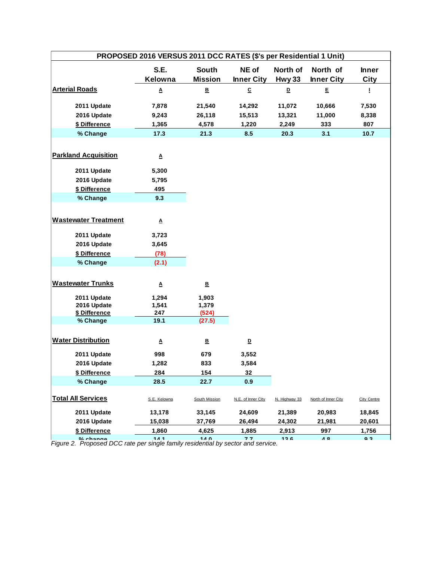| PROPOSED 2016 VERSUS 2011 DCC RATES (\$'s per Residential 1 Unit) |                    |                                |                            |                    |                               |                             |
|-------------------------------------------------------------------|--------------------|--------------------------------|----------------------------|--------------------|-------------------------------|-----------------------------|
|                                                                   | S.E.<br>Kelowna    | <b>South</b><br><b>Mission</b> | NE of<br><b>Inner City</b> | North of<br>Hwy 33 | North of<br><b>Inner City</b> | <b>Inner</b><br><b>City</b> |
| <b>Arterial Roads</b>                                             | Δ                  | $\underline{\mathsf{B}}$       | $\overline{\mathbf{c}}$    | D                  | E                             | 1                           |
| 2011 Update                                                       | 7,878              | 21,540                         | 14,292                     | 11,072             | 10,666                        | 7,530                       |
| 2016 Update                                                       | 9,243              | 26,118                         | 15,513                     | 13,321             | 11,000                        | 8,338                       |
| \$ Difference                                                     | 1,365              | 4,578                          | 1,220                      | 2,249              | 333                           | 807                         |
| % Change                                                          | 17.3               | 21.3                           | 8.5                        | 20.3               | 3.1                           | 10.7                        |
| <b>Parkland Acquisition</b>                                       | $\pmb{\mathsf{A}}$ |                                |                            |                    |                               |                             |
| 2011 Update                                                       | 5,300              |                                |                            |                    |                               |                             |
| 2016 Update                                                       | 5,795              |                                |                            |                    |                               |                             |
| \$ Difference                                                     | 495                |                                |                            |                    |                               |                             |
| % Change                                                          | 9.3                |                                |                            |                    |                               |                             |
|                                                                   |                    |                                |                            |                    |                               |                             |
| <b>Wastewater Treatment</b>                                       | Δ                  |                                |                            |                    |                               |                             |
| 2011 Update                                                       | 3,723              |                                |                            |                    |                               |                             |
| 2016 Update                                                       | 3,645              |                                |                            |                    |                               |                             |
| \$ Difference                                                     | (78)               |                                |                            |                    |                               |                             |
| % Change                                                          | (2.1)              |                                |                            |                    |                               |                             |
|                                                                   |                    |                                |                            |                    |                               |                             |
| <b>Wastewater Trunks</b>                                          | $\pmb{\mathsf{A}}$ | $\underline{\mathsf{B}}$       |                            |                    |                               |                             |
| 2011 Update                                                       | 1,294              | 1,903                          |                            |                    |                               |                             |
| 2016 Update                                                       | 1,541              | 1,379                          |                            |                    |                               |                             |
| \$ Difference<br>% Change                                         | 247<br>19.1        | (524)<br>(27.5)                |                            |                    |                               |                             |
|                                                                   |                    |                                |                            |                    |                               |                             |
| <b>Water Distribution</b>                                         | Δ                  | ₿                              | $\underline{\mathsf{D}}$   |                    |                               |                             |
| 2011 Update                                                       | 998                | 679                            | 3,552                      |                    |                               |                             |
| 2016 Update                                                       | 1,282              | 833                            | 3,584                      |                    |                               |                             |
| \$ Difference                                                     | 284                | 154                            | 32                         |                    |                               |                             |
| % Change                                                          | 28.5               | 22.7                           | 0.9                        |                    |                               |                             |
| <b>Total All Services</b>                                         | S.E. Kelowna       | South Mission                  | N.E. of Inner City         | N. Highway 33      | North of Inner City           | <b>City Centre</b>          |
| 2011 Update                                                       | 13,178             | 33,145                         | 24,609                     | 21,389             | 20,983                        | 18,845                      |
| 2016 Update                                                       | 15,038             | 37,769                         | 26,494                     | 24,302             | 21,981                        | 20,601                      |
| \$ Difference                                                     | 1,860              | 4,625                          | 1,885                      | 2,913              | 997                           | 1,756                       |
| $0/$ change                                                       | 444                | <b>140</b>                     | 77                         | 12 <sub>6</sub>    | $\overline{A}$ $\overline{Q}$ | Q <sub>2</sub>              |

*Figure 2. Proposed DCC rate per single family residential by sector and service.* **% change 14.1 14.0 7.7 13.6 4.8 9.3**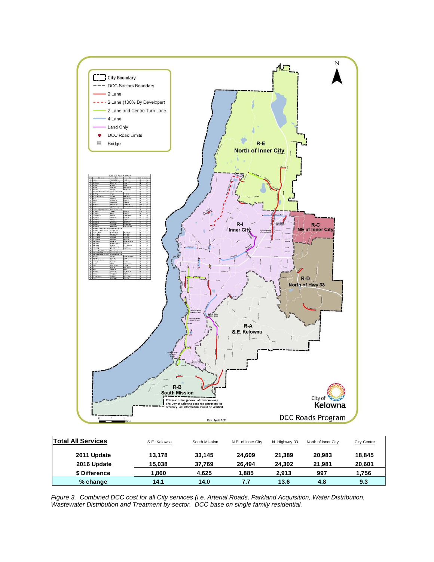

| <b>Total All Services</b> | S.E. Kelowna | South Mission | N.E. of Inner City | N. Highway 33 | North of Inner City | <b>City Centre</b> |
|---------------------------|--------------|---------------|--------------------|---------------|---------------------|--------------------|
| 2011 Update               | 13.178       | 33.145        | 24.609             | 21.389        | 20,983              | 18,845             |
| 2016 Update               | 15.038       | 37.769        | 26.494             | 24.302        | 21.981              | 20,601             |
| \$ Difference             | 1,860        | 4.625         | 1.885              | 2.913         | 997                 | 1.756              |
| $%$ change                | 14.1         | 14.0          | 7.7                | 13.6          | 4.8                 | 9.3                |

*Figure 3. Combined DCC cost for all City services (i.e. Arterial Roads, Parkland Acquisition, Water Distribution, Wastewater Distribution and Treatment by sector. DCC base on single family residential.*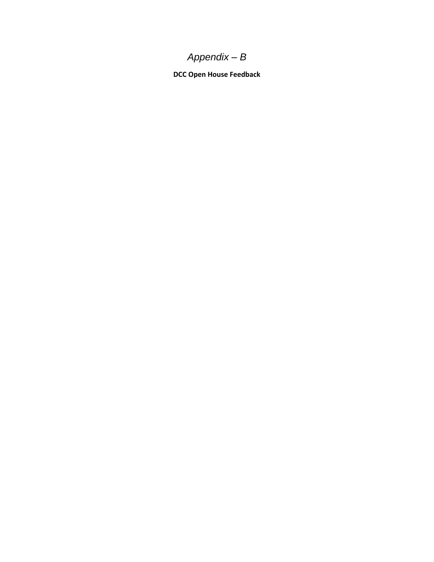# *Appendix – B*

**DCC Open House Feedback**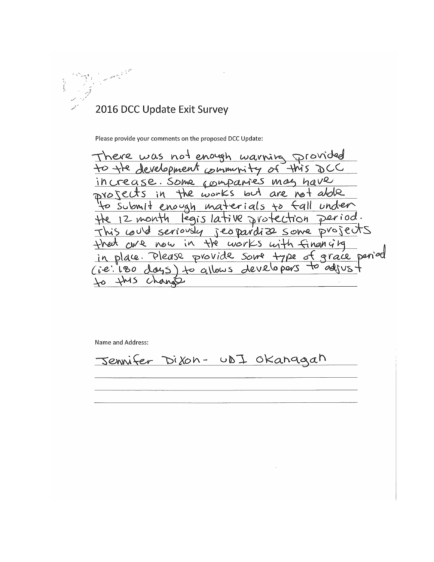

Please provide your comments on the proposed DCC Update:

There was not enough warning provided to the development community of this DCC increase. Some companies may have projects in the works but are not abole to submit enough materials to fall under<br>the 12 month legislative protection period.<br>This could seriously jeopardize some projects that are now in the works with financing in place. Please provide some type of grace penied<br>(ie: 180 days) to allows developers to adjust to this change

Name and Address:

Jennifer Dixon- UDI Okanagah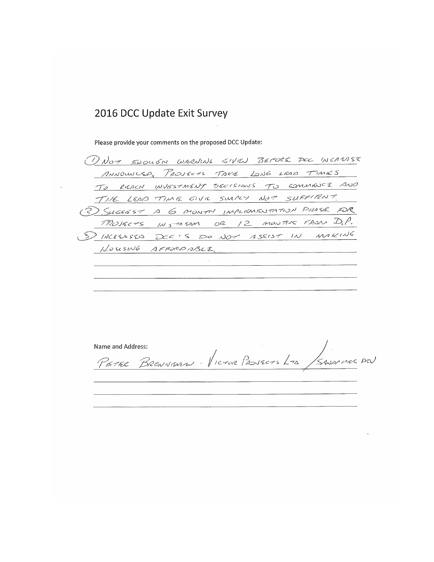Please provide your comments on the proposed DCC Update:

DNOT ENOUGN WARNING GIVEN BEFORE POC INCREASE ANNOWLER PROJECTS TAKE LONG LEAD TIMES TO REACH INVESTMENT DECISIONS TO COMMENCE AND THE LEAD TIME GIVE SWILLY NOT SUFFIENT. 2) SUGGEST A 6 MONTH IMPLICATED TATION PILASIE FOR MOJECTS INSTERM OR 12 MONTHS FROM D.P. 5) INCREASED DCC'S DO NOT ASSIST IN MAKING HOUSING AFFORD ABLE  $\sim 10$ 

Name and Address: PETER BRENNEMEN - VICTUR PROJECTS LTD SANAPHAR DEV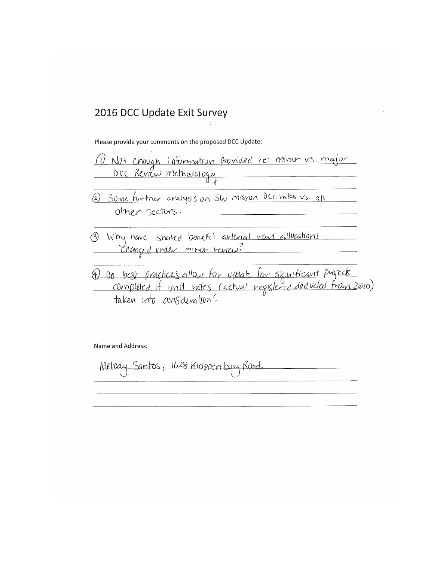Please provide your comments on the proposed DCC Update:

(i) Not enough Information provided be: minut vs. major DCC Review methodology Some furtner analysis on SW mission DCC rates vs. all other sectors. Why have shaked benefit arterial road allocations<br>Changed under minor review? 4) De best practices allow for update for significant puyzets<br>completed if unit rates (actual registered deducted from 2010)

Name and Address:

Melocuy Santos, 1628 Kloppen bug Road.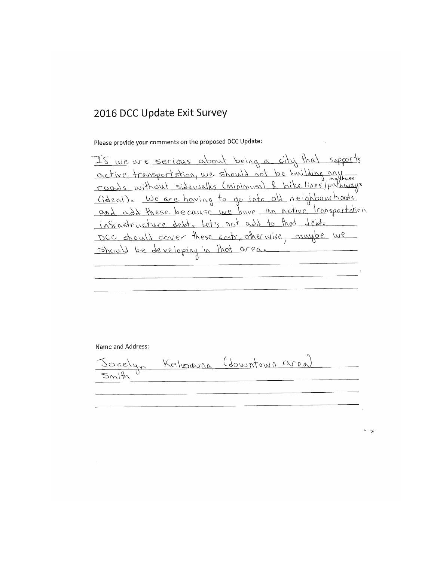Please provide your comments on the proposed DCC Update:

Is we are serious about being a city that supports active transportation, we should not be building any <u>(ideal). We are having to go into old neighbourhoods</u> and add these because we have an active transportation infrastructure debt. Let's not add to that debt. DCC should cover these costs, otherwise, maybe we should be developing in that area.

Name and Address:

Joselyn Kelwauna (dourntown area) Smith

 $\leftarrow$  3.